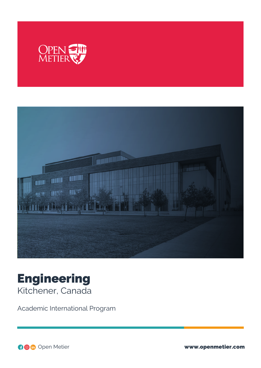



# Engineering Kitchener, Canada

Academic International Program

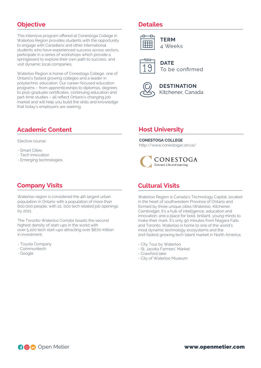## **Objective**

This intensive program offered at Conestoga College in Waterloo Region provides students with the opportunity to engage with Canadians and other international students who have experienced success across sectors, participate in a series of workshops which provide a springboard to explore their own path to success, and visit dynamic local companies.

Waterloo Region is home of Conestoga College, one of Ontario's fastest growing colleges and a leader in polytechnic education. Our career-focused education programs – from apprenticeships to diplomas, degrees to post-graduate certificates, continuing education and part-time studies – all reflect Ontario's changing job market and will help you build the skills and knowledge that today's employers are seeking.

# **Academic Content**

Elective course::

- Smart Cities
- Tech Innovation
- Emerging technologies

#### **Company Visits**

Waterloo region is considered the 4th largest urban population in Ontario with a population of more than 600,000 people, with 22, 000 tech related job openings by 2021.

The Toronto-Waterloo Corridor boasts the second highest density of start-ups in the world with over 5,200 tech start-ups attracting over \$670 million in investment.

- Toyota Company
- Communitech
- Google

#### **Detailes**



**TERM** 4 Weeks



**DATE** To be confirmed



**DESTINATION** Kitchener, Canada

#### **Host University**

#### **CONESTOGA COLLEGE**

http://www.conestogac.on.ca/



#### **Cultural Visits**

Waterloo Region is Canada's Technology Capital, located in the heart of southwestern Province of Ontario and formed by three unique cities (Waterloo, Kitchener, Cambridge). It's a hub of intelligence, education and innovation; and a place for bold, brilliant, young minds to make their mark. It's only 90 minutes from Niagara Falls and Toronto. Waterloo is home to one of the world's most dynamic technology ecosystems and the 2nd-fastest growing tech talent market in North America.

- City Tour by Waterloo
- St. Jacobs Farmers´ Market
- Crawford lake
- City of Waterloo Museum